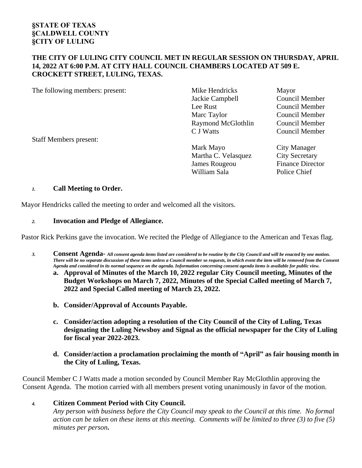#### **THE CITY OF LULING CITY COUNCIL MET IN REGULAR SESSION ON THURSDAY, APRIL 14, 2022 AT 6:00 P.M. AT CITY HALL COUNCIL CHAMBERS LOCATED AT 509 E. CROCKETT STREET, LULING, TEXAS.**

| The following members: present: | Mike Hendricks      | Mayor                   |
|---------------------------------|---------------------|-------------------------|
|                                 | Jackie Campbell     | Council Member          |
|                                 | Lee Rust            | Council Member          |
|                                 | Marc Taylor         | Council Member          |
|                                 | Raymond McGlothlin  | Council Member          |
|                                 | C J Watts           | Council Member          |
| <b>Staff Members present:</b>   |                     |                         |
|                                 | Mark Mayo           | City Manager            |
|                                 | Martha C. Velasquez | <b>City Secretary</b>   |
|                                 | James Rougeou       | <b>Finance Director</b> |
|                                 | William Sala        | Police Chief            |

#### *1.* **Call Meeting to Order.**

Mayor Hendricks called the meeting to order and welcomed all the visitors.

#### *2.* **Invocation and Pledge of Allegiance.**

Pastor Rick Perkins gave the invocation. We recited the Pledge of Allegiance to the American and Texas flag.

- *3.* **Consent Agenda-** *All consent agenda items listed are considered to be routine by the City Council and will be enacted by one motion. There will be no separate discussion of these items unless a Council member so requests, in which event the item will be removed from the Consent Agenda and considered in its normal sequence on the agenda. Information concerning consent agenda items is available for public view.*
	- **a. Approval of Minutes of the March 10, 2022 regular City Council meeting, Minutes of the Budget Workshops on March 7, 2022, Minutes of the Special Called meeting of March 7, 2022 and Special Called meeting of March 23, 2022.**
	- **b. Consider/Approval of Accounts Payable.**
	- **c. Consider/action adopting a resolution of the City Council of the City of Luling, Texas designating the Luling Newsboy and Signal as the official newspaper for the City of Luling for fiscal year 2022-2023.**
	- **d. Consider/action a proclamation proclaiming the month of "April" as fair housing month in the City of Luling, Texas.**

Council Member C J Watts made a motion seconded by Council Member Ray McGlothlin approving the Consent Agenda. The motion carried with all members present voting unanimously in favor of the motion.

#### *4.* **Citizen Comment Period with City Council.**

*Any person with business before the City Council may speak to the Council at this time. No formal action can be taken on these items at this meeting. Comments will be limited to three (3) to five (5) minutes per person***.**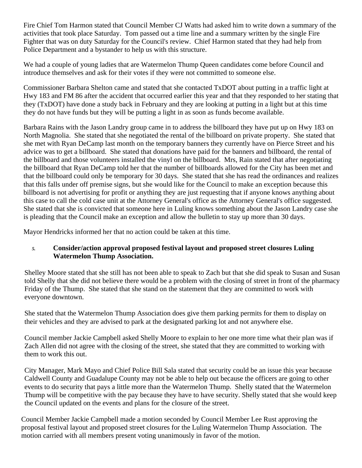Fire Chief Tom Harmon stated that Council Member CJ Watts had asked him to write down a summary of the activities that took place Saturday. Tom passed out a time line and a summary written by the single Fire Fighter that was on duty Saturday for the Council's review. Chief Harmon stated that they had help from Police Department and a bystander to help us with this structure.

We had a couple of young ladies that are Watermelon Thump Queen candidates come before Council and introduce themselves and ask for their votes if they were not committed to someone else.

Commissioner Barbara Shelton came and stated that she contacted TxDOT about putting in a traffic light at Hwy 183 and FM 86 after the accident that occurred earlier this year and that they responded to her stating that they (TxDOT) have done a study back in February and they are looking at putting in a light but at this time they do not have funds but they will be putting a light in as soon as funds become available.

Barbara Rains with the Jason Landry group came in to address the billboard they have put up on Hwy 183 on North Magnolia. She stated that she negotiated the rental of the billboard on private property. She stated that she met with Ryan DeCamp last month on the temporary banners they currently have on Pierce Street and his advice was to get a billboard. She stated that donations have paid for the banners and billboard, the rental of the billboard and those volunteers installed the vinyl on the billboard. Mrs, Rain stated that after negotiating the billboard that Ryan DeCamp told her that the number of billboards allowed for the City has been met and that the billboard could only be temporary for 30 days. She stated that she has read the ordinances and realizes that this falls under off premise signs, but she would like for the Council to make an exception because this billboard is not advertising for profit or anything they are just requesting that if anyone knows anything about this case to call the cold case unit at the Attorney General's office as the Attorney General's office suggested. She stated that she is convicted that someone here in Luling knows something about the Jason Landry case she is pleading that the Council make an exception and allow the bulletin to stay up more than 30 days.

Mayor Hendricks informed her that no action could be taken at this time.

# *5.* **Consider/action approval proposed festival layout and proposed street closures Luling Watermelon Thump Association.**

Shelley Moore stated that she still has not been able to speak to Zach but that she did speak to Susan and Susan told Shelly that she did not believe there would be a problem with the closing of street in front of the pharmacy Friday of the Thump. She stated that she stand on the statement that they are committed to work with everyone downtown.

She stated that the Watermelon Thump Association does give them parking permits for them to display on their vehicles and they are advised to park at the designated parking lot and not anywhere else.

Council member Jackie Campbell asked Shelly Moore to explain to her one more time what their plan was if Zach Allen did not agree with the closing of the street, she stated that they are committed to working with them to work this out.

City Manager, Mark Mayo and Chief Police Bill Sala stated that security could be an issue this year because Caldwell County and Guadalupe County may not be able to help out because the officers are going to other events to do security that pays a little more than the Watermelon Thump. Shelly stated that the Watermelon Thump will be competitive with the pay because they have to have security. Shelly stated that she would keep the Council updated on the events and plans for the closure of the street.

Council Member Jackie Campbell made a motion seconded by Council Member Lee Rust approving the proposal festival layout and proposed street closures for the Luling Watermelon Thump Association. The motion carried with all members present voting unanimously in favor of the motion.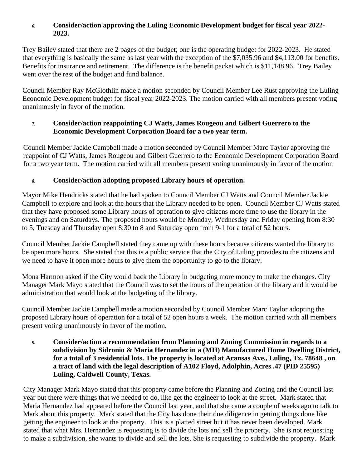## *6.* **Consider/action approving the Luling Economic Development budget for fiscal year 2022- 2023.**

Trey Bailey stated that there are 2 pages of the budget; one is the operating budget for 2022-2023. He stated that everything is basically the same as last year with the exception of the \$7,035.96 and \$4,113.00 for benefits. Benefits for insurance and retirement. The difference is the benefit packet which is \$11,148.96. Trey Bailey went over the rest of the budget and fund balance.

Council Member Ray McGlothlin made a motion seconded by Council Member Lee Rust approving the Luling Economic Development budget for fiscal year 2022-2023. The motion carried with all members present voting unanimously in favor of the motion.

#### *7.* **Consider/action reappointing CJ Watts, James Rougeou and Gilbert Guerrero to the Economic Development Corporation Board for a two year term.**

Council Member Jackie Campbell made a motion seconded by Council Member Marc Taylor approving the reappoint of CJ Watts, James Rougeou and Gilbert Guerrero to the Economic Development Corporation Board for a two year term. The motion carried with all members present voting unanimously in favor of the motion

# *8.* **Consider/action adopting proposed Library hours of operation.**

Mayor Mike Hendricks stated that he had spoken to Council Member CJ Watts and Council Member Jackie Campbell to explore and look at the hours that the Library needed to be open. Council Member CJ Watts stated that they have proposed some Library hours of operation to give citizens more time to use the library in the evenings and on Saturdays. The proposed hours would be Monday, Wednesday and Friday opening from 8:30 to 5, Tuesday and Thursday open 8:30 to 8 and Saturday open from 9-1 for a total of 52 hours.

Council Member Jackie Campbell stated they came up with these hours because citizens wanted the library to be open more hours. She stated that this is a public service that the City of Luling provides to the citizens and we need to have it open more hours to give them the opportunity to go to the library.

Mona Harmon asked if the City would back the Library in budgeting more money to make the changes. City Manager Mark Mayo stated that the Council was to set the hours of the operation of the library and it would be administration that would look at the budgeting of the library.

Council Member Jackie Campbell made a motion seconded by Council Member Marc Taylor adopting the proposed Library hours of operation for a total of 52 open hours a week. The motion carried with all members present voting unanimously in favor of the motion.

*9.* **Consider/action a recommendation from Planning and Zoning Commission in regards to a subdivision by Sidronio & Maria Hernandez in a (MH) Manufactured Home Dwelling District, for a total of 3 residential lots. The property is located at Aransas Ave., Luling, Tx. 78648 , on a tract of land with the legal description of A102 Floyd, Adolphin, Acres .47 (PID 25595) Luling, Caldwell County, Texas.**

City Manager Mark Mayo stated that this property came before the Planning and Zoning and the Council last year but there were things that we needed to do, like get the engineer to look at the street. Mark stated that Maria Hernandez had appeared before the Council last year, and that she came a couple of weeks ago to talk to Mark about this property. Mark stated that the City has done their due diligence in getting things done like getting the engineer to look at the property. This is a platted street but it has never been developed. Mark stated that what Mrs. Hernandez is requesting is to divide the lots and sell the property. She is not requesting to make a subdivision, she wants to divide and sell the lots. She is requesting to subdivide the property. Mark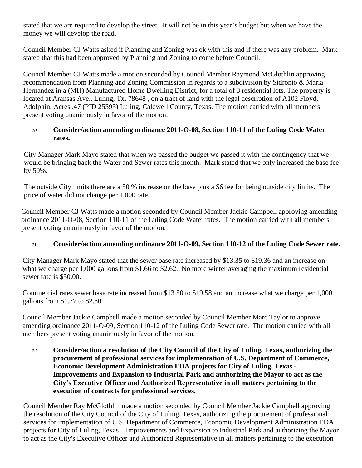stated that we are required to develop the street. It will not be in this year's budget but when we have the money we will develop the road.

Council Member CJ Watts asked if Planning and Zoning was ok with this and if there was any problem. Mark stated that this had been approved by Planning and Zoning to come before Council.

Council Member CJ Watts made a motion seconded by Council Member Raymond McGlothlin approving recommendation from Planning and Zoning Commission in regards to a subdivision by Sidronio & Maria Hernandez in a (MH) Manufactured Home Dwelling District, for a total of 3 residential lots. The property is located at Aransas Ave., Luling, Tx. 78648 , on a tract of land with the legal description of A102 Floyd, Adolphin, Acres .47 (PID 25595) Luling, Caldwell County, Texas. The motion carried with all members present voting unanimously in favor of the motion.

### *10.* **Consider/action amending ordinance 2011-O-08, Section 110-11 of the Luling Code Water rates.**

City Manager Mark Mayo stated that when we passed the budget we passed it with the contingency that we would be bringing back the Water and Sewer rates this month. Mark stated that we only increased the base fee by 50%.

The outside City limits there are a 50 % increase on the base plus a \$6 fee for being outside city limits. The price of water did not change per 1,000 rate.

Council Member CJ Watts made a motion seconded by Council Member Jackie Campbell approving amending ordinance 2011-O-08, Section 110-11 of the Luling Code Water rates. The motion carried with all members present voting unanimously in favor of the motion.

# *11.* **Consider/action amending ordinance 2011-O-09, Section 110-12 of the Luling Code Sewer rate.**

City Manager Mark Mayo stated that the sewer base rate increased by \$13.35 to \$19.36 and an increase on what we charge per 1,000 gallons from \$1.66 to \$2.62. No more winter averaging the maximum residential sewer rate is \$50.00.

Commercial rates sewer base rate increased from \$13.50 to \$19.58 and an increase what we charge per 1,000 gallons from \$1.77 to \$2.80

Council Member Jackie Campbell made a motion seconded by Council Member Marc Taylor to approve amending ordinance 2011-O-09, Section 110-12 of the Luling Code Sewer rate. The motion carried with all members present voting unanimously in favor of the motion.

*12.* **Consider/action a resolution of the City Council of the City of Luling, Texas, authorizing the procurement of professional services for implementation of U.S. Department of Commerce, Economic Development Administration EDA projects for City of Luling, Texas - Improvements and Expansion to Industrial Park and authorizing the Mayor to act as the City's Executive Officer and Authorized Representative in all matters pertaining to the execution of contracts for professional services.** 

Council Member Ray McGlothlin made a motion seconded by Council Member Jackie Campbell approving the resolution of the City Council of the City of Luling, Texas, authorizing the procurement of professional services for implementation of U.S. Department of Commerce, Economic Development Administration EDA projects for City of Luling, Texas – Improvements and Expansion to Industrial Park and authorizing the Mayor to act as the City's Executive Officer and Authorized Representative in all matters pertaining to the execution